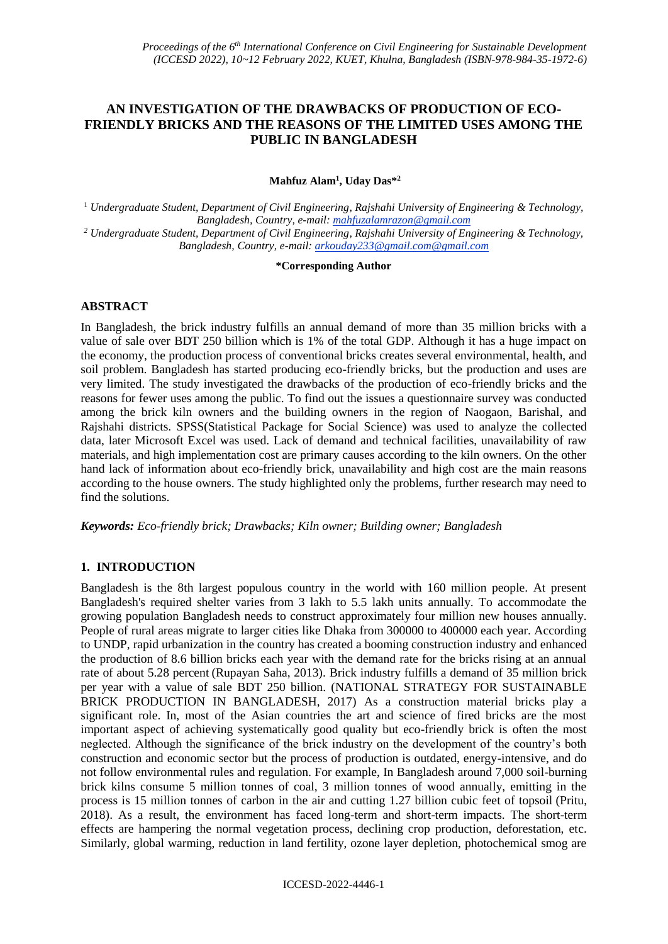# **AN INVESTIGATION OF THE DRAWBACKS OF PRODUCTION OF ECO-FRIENDLY BRICKS AND THE REASONS OF THE LIMITED USES AMONG THE PUBLIC IN BANGLADESH**

**Mahfuz Alam<sup>1</sup> , Uday Das\*<sup>2</sup>**

<sup>1</sup> *Undergraduate Student, Department of Civil Engineering, Rajshahi University of Engineering & Technology, Bangladesh, Country, e-mail: mahfuzalamrazon@gmail.com <sup>2</sup> Undergraduate Student, Department of Civil Engineering, Rajshahi University of Engineering & Technology, Bangladesh, Country, e-mail: arkouday233@gmail.com@gmail.com*

#### **\*Corresponding Author**

# **ABSTRACT**

In Bangladesh, the brick industry fulfills an annual demand of more than 35 million bricks with a value of sale over BDT 250 billion which is 1% of the total GDP. Although it has a huge impact on the economy, the production process of conventional bricks creates several environmental, health, and soil problem. Bangladesh has started producing eco-friendly bricks, but the production and uses are very limited. The study investigated the drawbacks of the production of eco-friendly bricks and the reasons for fewer uses among the public. To find out the issues a questionnaire survey was conducted among the brick kiln owners and the building owners in the region of Naogaon, Barishal, and Rajshahi districts. SPSS(Statistical Package for Social Science) was used to analyze the collected data, later Microsoft Excel was used. Lack of demand and technical facilities, unavailability of raw materials, and high implementation cost are primary causes according to the kiln owners. On the other hand lack of information about eco-friendly brick, unavailability and high cost are the main reasons according to the house owners. The study highlighted only the problems, further research may need to find the solutions.

*Keywords: Eco-friendly brick; Drawbacks; Kiln owner; Building owner; Bangladesh*

# **1. INTRODUCTION**

Bangladesh is the 8th largest populous country in the world with 160 million people. At present Bangladesh's required shelter varies from 3 lakh to 5.5 lakh units annually. To accommodate the growing population Bangladesh needs to construct approximately four million new houses annually. People of rural areas migrate to larger cities like Dhaka from 300000 to 400000 each year. According to UNDP, rapid urbanization in the country has created a booming construction industry and enhanced the production of 8.6 billion bricks each year with the demand rate for the bricks rising at an annual rate of about 5.28 percent (Rupayan Saha, 2013). Brick industry fulfills a demand of 35 million brick per year with a value of sale BDT 250 billion. (NATIONAL STRATEGY FOR SUSTAINABLE BRICK PRODUCTION IN BANGLADESH, 2017) As a construction material bricks play a significant role. In, most of the Asian countries the art and science of fired bricks are the most important aspect of achieving systematically good quality but eco-friendly brick is often the most neglected. Although the significance of the brick industry on the development of the country's both construction and economic sector but the process of production is outdated, energy-intensive, and do not follow environmental rules and regulation. For example, In Bangladesh around 7,000 soil-burning brick kilns consume 5 million tonnes of coal, 3 million tonnes of wood annually, emitting in the process is 15 million tonnes of carbon in the air and cutting 1.27 billion cubic feet of topsoil (Pritu, 2018). As a result, the environment has faced long-term and short-term impacts. The short-term effects are hampering the normal vegetation process, declining crop production, deforestation, etc. Similarly, global warming, reduction in land fertility, ozone layer depletion, photochemical smog are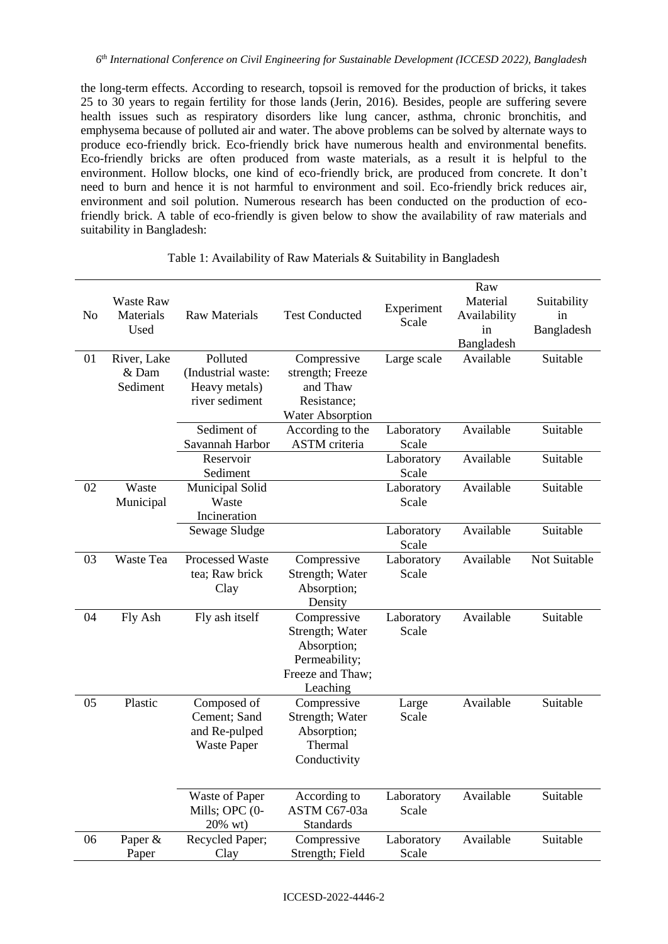the long-term effects. According to research, topsoil is removed for the production of bricks, it takes 25 to 30 years to regain fertility for those lands (Jerin, 2016). Besides, people are suffering severe health issues such as respiratory disorders like lung cancer, asthma, chronic bronchitis, and emphysema because of polluted air and water. The above problems can be solved by alternate ways to produce eco-friendly brick. Eco-friendly brick have numerous health and environmental benefits. Eco-friendly bricks are often produced from waste materials, as a result it is helpful to the environment. Hollow blocks, one kind of eco-friendly brick, are produced from concrete. It don't need to burn and hence it is not harmful to environment and soil. Eco-friendly brick reduces air, environment and soil polution. Numerous research has been conducted on the production of ecofriendly brick. A table of eco-friendly is given below to show the availability of raw materials and suitability in Bangladesh:

| N <sub>o</sub> | <b>Waste Raw</b><br>Materials<br>Used | <b>Raw Materials</b>             | <b>Test Conducted</b>        | Experiment<br>Scale | Raw<br>Material<br>Availability<br>in<br>Bangladesh | Suitability<br>in<br>Bangladesh |
|----------------|---------------------------------------|----------------------------------|------------------------------|---------------------|-----------------------------------------------------|---------------------------------|
| 01             | River, Lake                           | Polluted                         | Compressive                  | Large scale         | Available                                           | Suitable                        |
|                | & Dam                                 | (Industrial waste:               | strength; Freeze             |                     |                                                     |                                 |
|                | Sediment                              | Heavy metals)                    | and Thaw                     |                     |                                                     |                                 |
|                |                                       | river sediment                   | Resistance:                  |                     |                                                     |                                 |
|                |                                       |                                  | <b>Water Absorption</b>      |                     |                                                     |                                 |
|                |                                       | Sediment of                      | According to the             | Laboratory          | Available                                           | Suitable                        |
|                |                                       | Savannah Harbor                  | <b>ASTM</b> criteria         | Scale               |                                                     |                                 |
|                |                                       | Reservoir                        |                              | Laboratory          | Available                                           | Suitable                        |
| 02             | Waste                                 | Sediment                         |                              | Scale               | Available                                           | Suitable                        |
|                | Municipal                             | Municipal Solid<br>Waste         |                              | Laboratory<br>Scale |                                                     |                                 |
|                |                                       | Incineration                     |                              |                     |                                                     |                                 |
|                |                                       | Sewage Sludge                    |                              | Laboratory          | Available                                           | Suitable                        |
|                |                                       |                                  |                              | Scale               |                                                     |                                 |
| 03             | Waste Tea                             | Processed Waste                  | Compressive                  | Laboratory          | Available                                           | Not Suitable                    |
|                |                                       | tea; Raw brick                   | Strength; Water              | Scale               |                                                     |                                 |
|                |                                       | Clay                             | Absorption;                  |                     |                                                     |                                 |
|                |                                       |                                  | Density                      |                     |                                                     |                                 |
| 04             | Fly Ash                               | Fly ash itself                   | Compressive                  | Laboratory          | Available                                           | Suitable                        |
|                |                                       |                                  | Strength; Water              | Scale               |                                                     |                                 |
|                |                                       |                                  | Absorption;                  |                     |                                                     |                                 |
|                |                                       |                                  | Permeability;                |                     |                                                     |                                 |
|                |                                       |                                  | Freeze and Thaw;             |                     |                                                     |                                 |
| 05             | Plastic                               | Composed of                      | Leaching<br>Compressive      |                     | Available                                           | Suitable                        |
|                |                                       | Cement; Sand                     | Strength; Water              | Large<br>Scale      |                                                     |                                 |
|                |                                       | and Re-pulped                    | Absorption;                  |                     |                                                     |                                 |
|                |                                       | <b>Waste Paper</b>               | Thermal                      |                     |                                                     |                                 |
|                |                                       |                                  | Conductivity                 |                     |                                                     |                                 |
|                |                                       |                                  |                              |                     |                                                     |                                 |
|                |                                       |                                  |                              |                     | Available                                           | Suitable                        |
|                |                                       | Waste of Paper<br>Mills; OPC (0- | According to<br>ASTM C67-03a | Laboratory<br>Scale |                                                     |                                 |
|                |                                       | 20% wt)                          | <b>Standards</b>             |                     |                                                     |                                 |
| 06             | Paper &                               | Recycled Paper;                  | Compressive                  | Laboratory          | Available                                           | Suitable                        |
|                | Paper                                 | Clay                             | Strength; Field              | Scale               |                                                     |                                 |

### Table 1: Availability of Raw Materials & Suitability in Bangladesh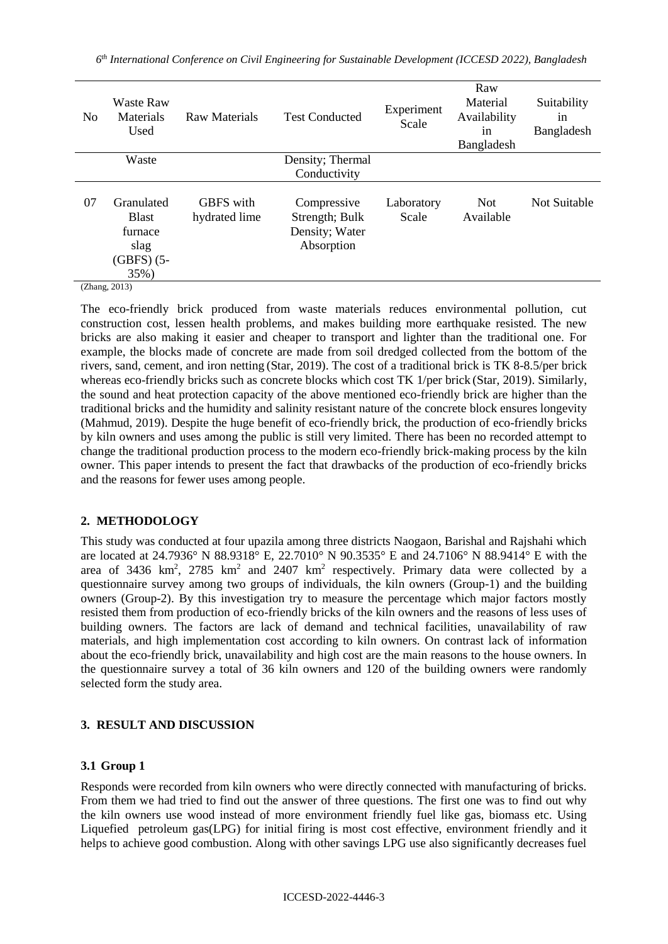| N <sub>0</sub> | <b>Waste Raw</b><br>Materials<br>Used                                                         | Raw Materials                     | <b>Test Conducted</b>                                         | Experiment<br>Scale | Raw<br>Material<br>Availability<br>in<br>Bangladesh | Suitability<br>1n<br>Bangladesh |
|----------------|-----------------------------------------------------------------------------------------------|-----------------------------------|---------------------------------------------------------------|---------------------|-----------------------------------------------------|---------------------------------|
|                | Waste                                                                                         |                                   | Density; Thermal                                              |                     |                                                     |                                 |
|                |                                                                                               |                                   | Conductivity                                                  |                     |                                                     |                                 |
| 07             | Granulated<br><b>Blast</b><br>furnace<br>slag<br>$(GBFS)$ (5-<br>35%)<br>(7 <sub>h</sub> )(2) | <b>GBFS</b> with<br>hydrated lime | Compressive<br>Strength; Bulk<br>Density; Water<br>Absorption | Laboratory<br>Scale | <b>Not</b><br>Available                             | Not Suitable                    |

(Zhang, 2013)

The eco-friendly brick produced from waste materials reduces environmental pollution, cut construction cost, lessen health problems, and makes building more earthquake resisted. The new bricks are also making it easier and cheaper to transport and lighter than the traditional one. For example, the blocks made of concrete are made from soil dredged collected from the bottom of the rivers, sand, cement, and iron netting (Star, 2019). The cost of a traditional brick is TK 8-8.5/per brick whereas eco-friendly bricks such as concrete blocks which cost TK 1/per brick (Star, 2019). Similarly, the sound and heat protection capacity of the above mentioned eco-friendly brick are higher than the traditional bricks and the humidity and salinity resistant nature of the concrete block ensures longevity (Mahmud, 2019). Despite the huge benefit of eco-friendly brick, the production of eco-friendly bricks by kiln owners and uses among the public is still very limited. There has been no recorded attempt to change the traditional production process to the modern eco-friendly brick-making process by the kiln owner. This paper intends to present the fact that drawbacks of the production of eco-friendly bricks and the reasons for fewer uses among people.

# **2. METHODOLOGY**

This study was conducted at four upazila among three districts Naogaon, Barishal and Rajshahi which are located at 24.7936° N 88.9318° E, 22.7010° N 90.3535° E and 24.7106° N 88.9414° E with the area of 3436 km<sup>2</sup>, 2785 km<sup>2</sup> and 2407 km<sup>2</sup> respectively. Primary data were collected by a questionnaire survey among two groups of individuals, the kiln owners (Group-1) and the building owners (Group-2). By this investigation try to measure the percentage which major factors mostly resisted them from production of eco-friendly bricks of the kiln owners and the reasons of less uses of building owners. The factors are lack of demand and technical facilities, unavailability of raw materials, and high implementation cost according to kiln owners. On contrast lack of information about the eco-friendly brick, unavailability and high cost are the main reasons to the house owners. In the questionnaire survey a total of 36 kiln owners and 120 of the building owners were randomly selected form the study area.

# **3. RESULT AND DISCUSSION**

# **3.1 Group 1**

Responds were recorded from kiln owners who were directly connected with manufacturing of bricks. From them we had tried to find out the answer of three questions. The first one was to find out why the kiln owners use wood instead of more environment friendly fuel like gas, biomass etc. Using Liquefied petroleum gas(LPG) for initial firing is most cost effective, environment friendly and it helps to achieve good combustion. Along with other savings LPG use also significantly decreases fuel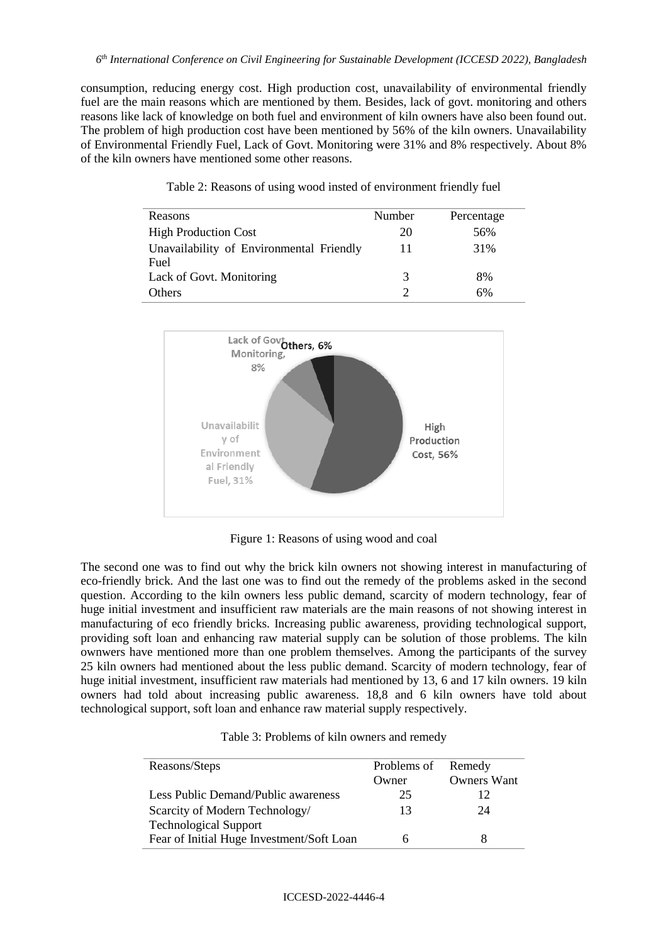consumption, reducing energy cost. High production cost, unavailability of environmental friendly fuel are the main reasons which are mentioned by them. Besides, lack of govt. monitoring and others reasons like lack of knowledge on both fuel and environment of kiln owners have also been found out. The problem of high production cost have been mentioned by 56% of the kiln owners. Unavailability of Environmental Friendly Fuel, Lack of Govt. Monitoring were 31% and 8% respectively. About 8% of the kiln owners have mentioned some other reasons.

| Table 2: Reasons of using wood insted of environment friendly fuel |
|--------------------------------------------------------------------|
|--------------------------------------------------------------------|

| Reasons                                  | Number | Percentage |
|------------------------------------------|--------|------------|
| <b>High Production Cost</b>              | 20     | 56%        |
| Unavailability of Environmental Friendly | 11     | 31%        |
| Fuel                                     |        |            |
| Lack of Govt. Monitoring                 | 3      | 8%         |
| <b>Others</b>                            | ∍      | 6%         |



Figure 1: Reasons of using wood and coal

The second one was to find out why the brick kiln owners not showing interest in manufacturing of eco-friendly brick. And the last one was to find out the remedy of the problems asked in the second question. According to the kiln owners less public demand, scarcity of modern technology, fear of huge initial investment and insufficient raw materials are the main reasons of not showing interest in manufacturing of eco friendly bricks. Increasing public awareness, providing technological support, providing soft loan and enhancing raw material supply can be solution of those problems. The kiln ownwers have mentioned more than one problem themselves. Among the participants of the survey 25 kiln owners had mentioned about the less public demand. Scarcity of modern technology, fear of huge initial investment, insufficient raw materials had mentioned by 13, 6 and 17 kiln owners. 19 kiln owners had told about increasing public awareness. 18,8 and 6 kiln owners have told about technological support, soft loan and enhance raw material supply respectively.

| Table 3: Problems of kiln owners and remedy |  |
|---------------------------------------------|--|
|---------------------------------------------|--|

| Reasons/Steps                             | Problems of | Remedy             |
|-------------------------------------------|-------------|--------------------|
|                                           | Owner       | <b>Owners Want</b> |
| Less Public Demand/Public awareness       | 25          | 12                 |
| Scarcity of Modern Technology/            | 13          | 24                 |
| <b>Technological Support</b>              |             |                    |
| Fear of Initial Huge Investment/Soft Loan | h           |                    |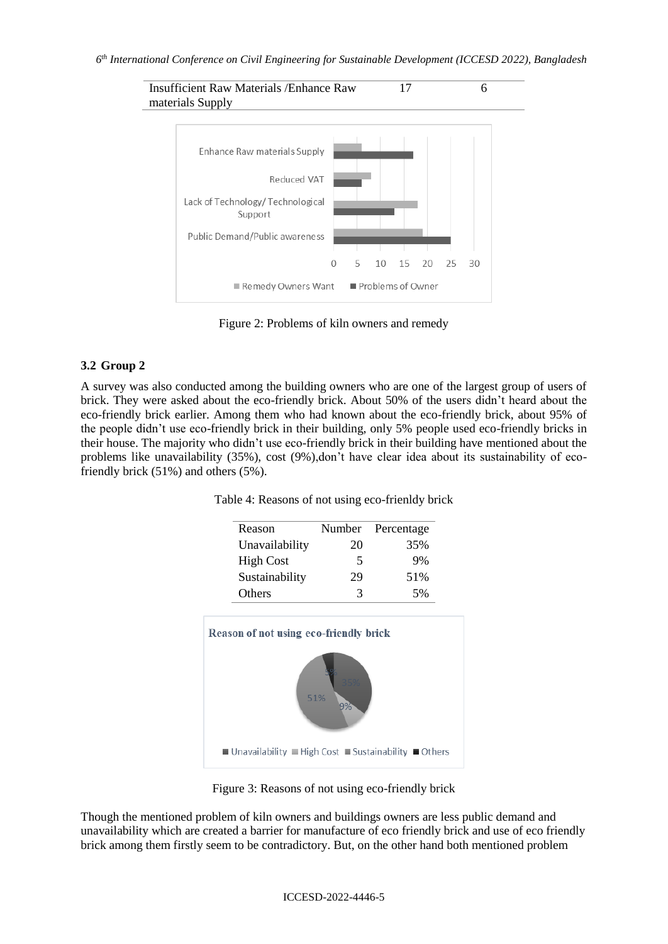

Figure 2: Problems of kiln owners and remedy

# **3.2 Group 2**

A survey was also conducted among the building owners who are one of the largest group of users of brick. They were asked about the eco-friendly brick. About 50% of the users didn't heard about the eco-friendly brick earlier. Among them who had known about the eco-friendly brick, about 95% of the people didn't use eco-friendly brick in their building, only 5% people used eco-friendly bricks in their house. The majority who didn't use eco-friendly brick in their building have mentioned about the problems like unavailability (35%), cost (9%),don't have clear idea about its sustainability of ecofriendly brick (51%) and others (5%).

| Table 4: Reasons of not using eco-frienldy brick |
|--------------------------------------------------|
|--------------------------------------------------|

|                  | Number    | Percentage |
|------------------|-----------|------------|
| Unavailability   | 20        | 35%        |
| <b>High Cost</b> | 5         | 9%         |
| Sustainability   | 29        | 51%        |
| Others           | 3         | 5%         |
|                  | 51%<br>9% |            |

Figure 3: Reasons of not using eco-friendly brick

Though the mentioned problem of kiln owners and buildings owners are less public demand and unavailability which are created a barrier for manufacture of eco friendly brick and use of eco friendly brick among them firstly seem to be contradictory. But, on the other hand both mentioned problem